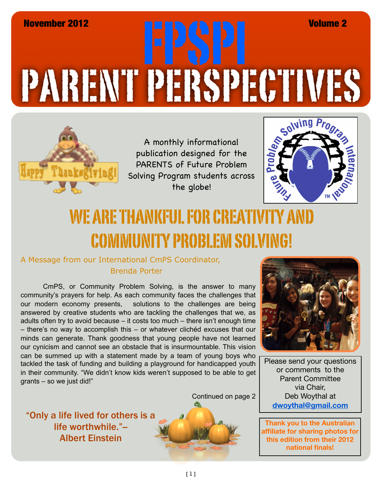## PARENT PERSPECTIVES November 2012 FPSPI Volume 2



A monthly informational publication designed for the PARENTS of Future Problem Solving Program students across the globe!



## WE ARE THANKFUL FOR CREATIVITY AND COMMUNITY PROBLEM SOLVING!

## A Message from our International CmPS Coordinator, Brenda Porter

CmPS, or Community Problem Solving, is the answer to many community's prayers for help. As each community faces the challenges that our modern economy presents, solutions to the challenges are being answered by creative students who are tackling the challenges that we, as adults often try to avoid because – it costs too much – there isn't enough time – there's no way to accomplish this – or whatever clichéd excuses that our minds can generate. Thank goodness that young people have not learned our cynicism and cannot see an obstacle that is insurmountable. This vision can be summed up with a statement made by a team of young boys who tackled the task of funding and building a playground for handicapped youth in their community. "We didn't know kids weren't supposed to be able to get grants – so we just did!"

Continued on page 2

"Only a life lived for others is a life worthwhile."-Albert Einstein





Please send your questions or comments to the Parent Committee via Chair, Deb Woythal at **dwoythal@gmail.com**

**Thank you to the Australian affiliate for sharing photos for this edition from their 2012 national finals!**